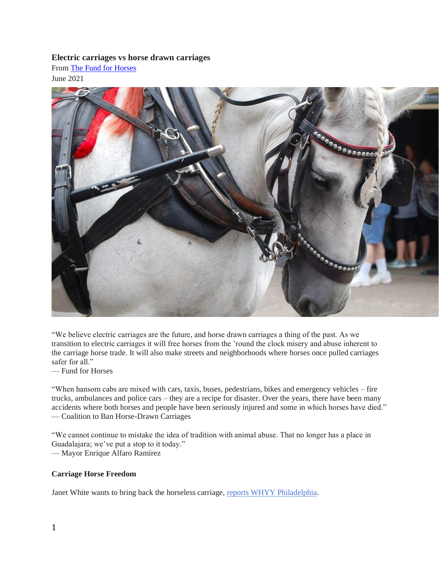## **Electric carriages vs horse drawn carriages**

From [The Fund for Horses](https://tuesdayshorse.wordpress.com/) June 2021



"We believe electric carriages are the future, and horse drawn carriages a thing of the past. As we transition to electric carriages it will free horses from the 'round the clock misery and abuse inherent to the carriage horse trade. It will also make streets and neighborhoods where horses once pulled carriages safer for all."

— Fund for Horses

"When hansom cabs are mixed with cars, taxis, buses, pedestrians, bikes and emergency vehicles – fire trucks, ambulances and police cars – they are a recipe for disaster. Over the years, there have been many accidents where both horses and people have been seriously injured and some in which horses have died." — Coalition to Ban Horse-Drawn Carriages

"We cannot continue to mistake the idea of tradition with animal abuse. That no longer has a place in Guadalajara; we've put a stop to it today." — Mayor Enrique Alfaro Ramírez

## **Carriage Horse Freedom**

Janet White wants to bring back the horseless carriage, [reports WHYY Philadelphia.](https://whyy.org/articles/hold-your-horses-can-old-timey-e-carriages-replace-old-city-buggies/)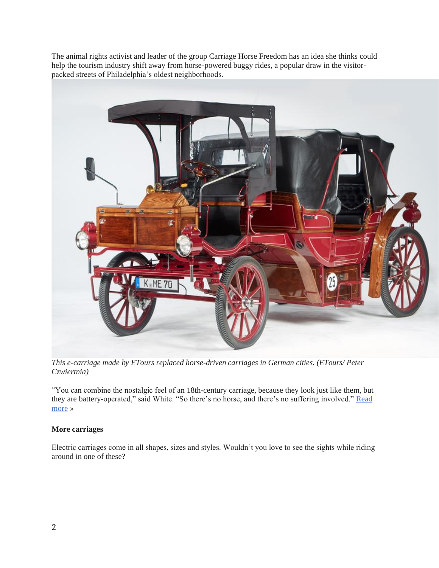The animal rights activist and leader of the group Carriage Horse Freedom has an idea she thinks could help the tourism industry shift away from horse-powered buggy rides, a popular draw in the visitorpacked streets of Philadelphia's oldest neighborhoods.



*This e-carriage made by ETours replaced horse-driven carriages in German cities. (ETours/ Peter Czwiertnia)*

"You can combine the nostalgic feel of an 18th-century carriage, because they look just like them, but they are battery-operated," said White. "So there's no horse, and there's no suffering involved." [Read](https://whyy.org/articles/hold-your-horses-can-old-timey-e-carriages-replace-old-city-buggies/)  [more](https://whyy.org/articles/hold-your-horses-can-old-timey-e-carriages-replace-old-city-buggies/) »

## **More carriages**

Electric carriages come in all shapes, sizes and styles. Wouldn't you love to see the sights while riding around in one of these?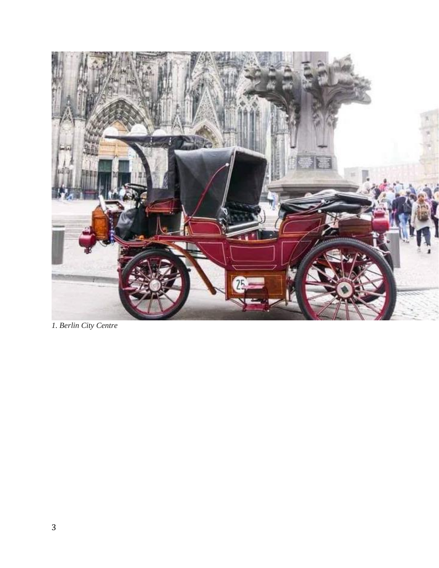

*1. Berlin City Centre*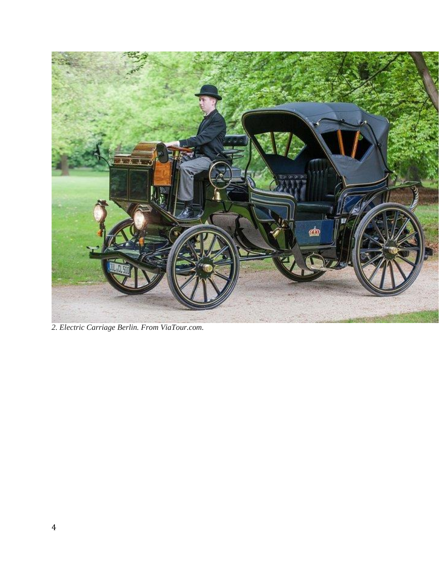

*2. Electric Carriage Berlin. From ViaTour.com.*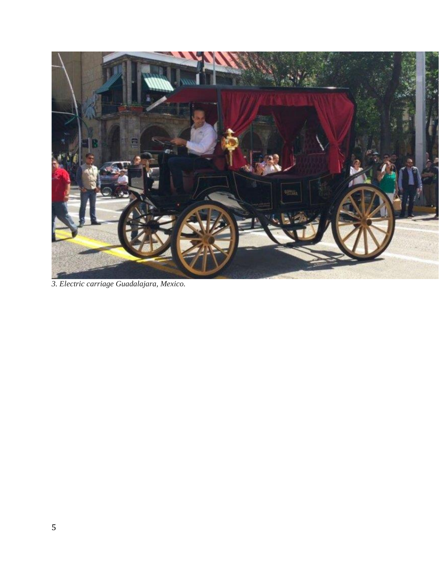

*3. Electric carriage Guadalajara, Mexico.*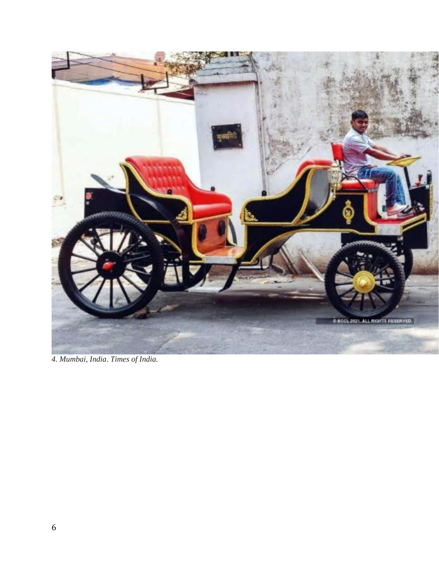

*4. Mumbai, India*. *Times of India.*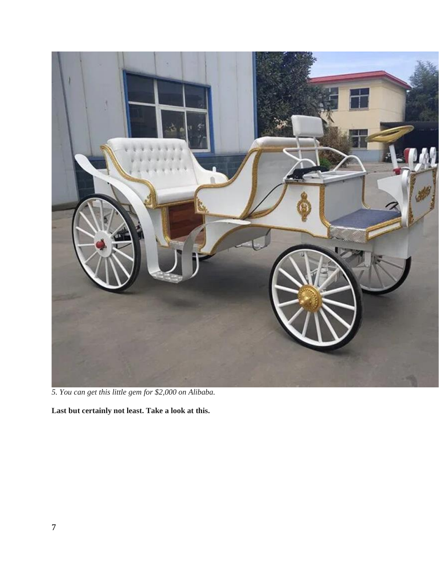

*5. You can get this little gem for \$2,000 on Alibaba.*

**Last but certainly not least. Take a look at this.**